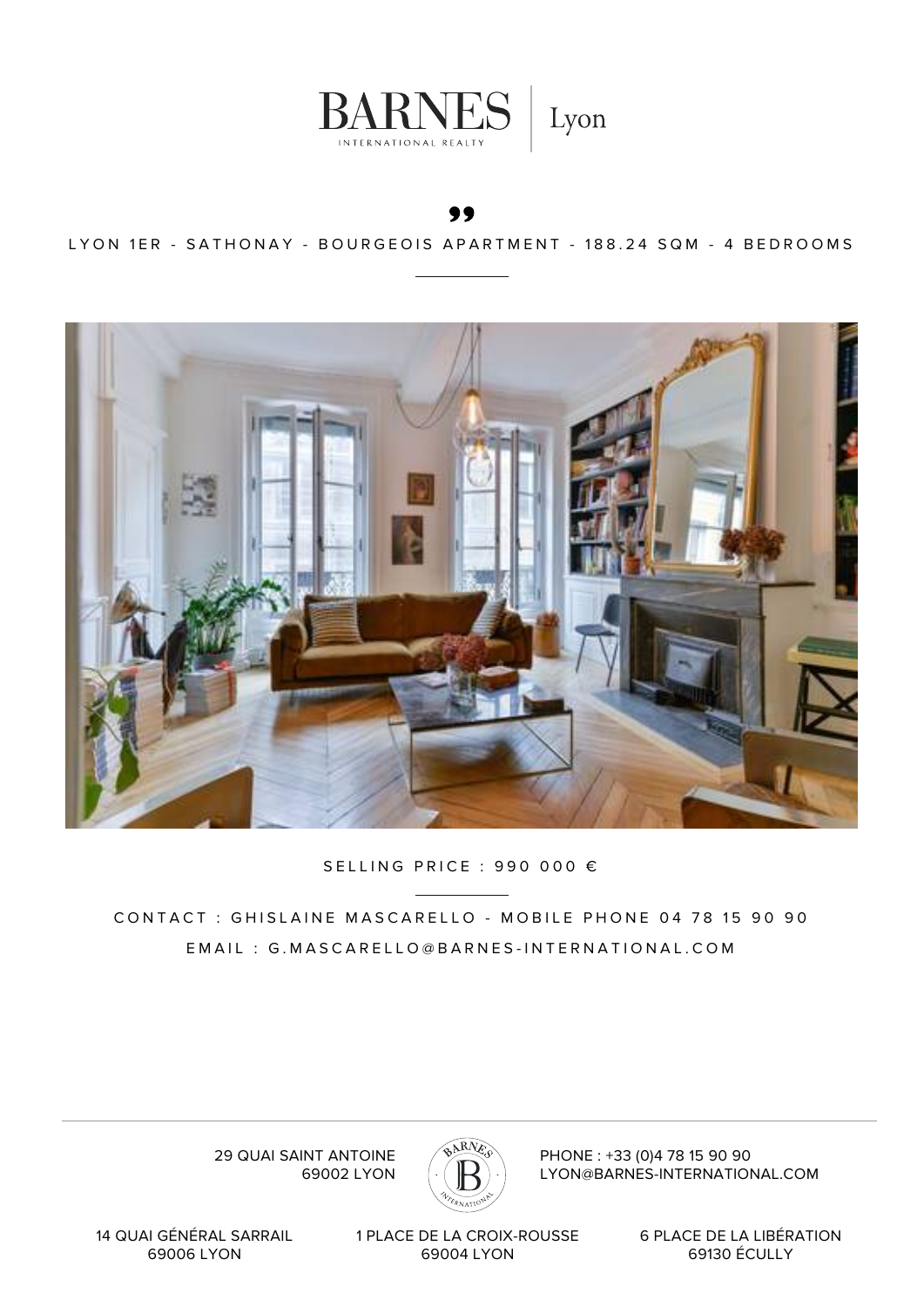

#### LYON 1ER - SATHONAY - BOURGEOIS APARTMENT - 188.24 SQM - 4 BEDROOMS



### SELLING PRICE : 990 000 €

CONTACT : GHISLAINE MASCARELLO - MOBILE PHONE 04 78 15 90 90 EMAIL : G.MASCARELLO@BARNES-INTERNATIONAL.COM

 $RN$ 

29 QUAI SAINT ANTOINE 69002 LYON PHONE : +33 (0)4 78 15 90 90 LYON@BARNES-INTERNATIONAL.COM

14 QUAI GÉNÉRAL SARRAIL 69006 LYON

1 PLACE DE LA CROIX-ROUSSE 69004 LYON

6 PLACE DE LA LIBÉRATION 69130 ÉCULLY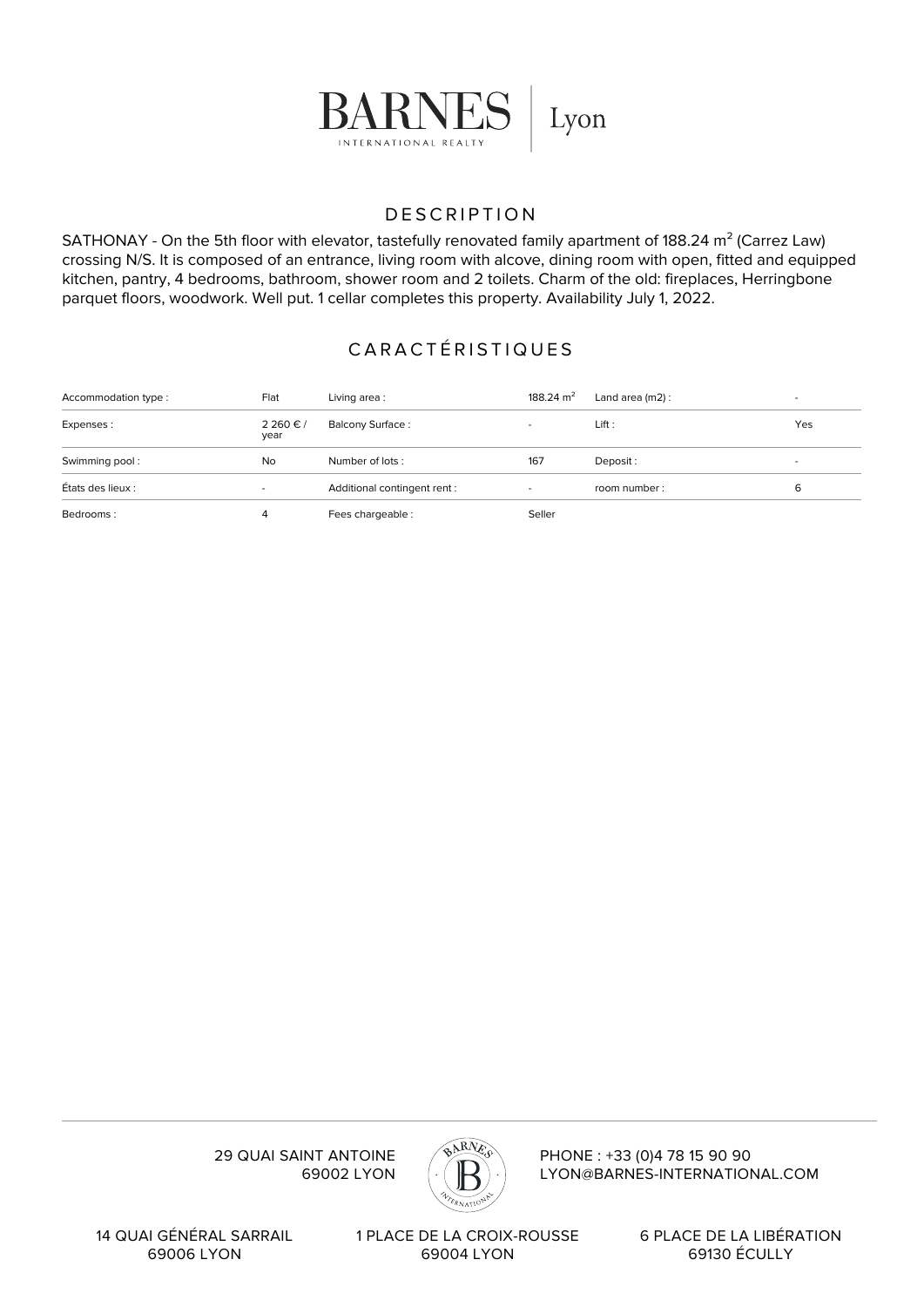

## DESCRIPTION

SATHONAY - On the 5th floor with elevator, tastefully renovated family apartment of 188.24 m<sup>2</sup> (Carrez Law) crossing N/S. It is composed of an entrance, living room with alcove, dining room with open, fitted and equipped kitchen, pantry, 4 bedrooms, bathroom, shower room and 2 toilets. Charm of the old: fireplaces, Herringbone parquet floors, woodwork. Well put. 1 cellar completes this property. Availability July 1, 2022.

# CARACTÉRISTIQUES

| Accommodation type: | Flat           | Living area:                 | 188.24 $m2$ | Land area $(m2)$ : | $\overline{\phantom{a}}$ |
|---------------------|----------------|------------------------------|-------------|--------------------|--------------------------|
| Expenses:           | 2260€/<br>year | <b>Balcony Surface:</b>      |             | Lift:              | Yes                      |
| Swimming pool:      | No             | Number of lots:              | 167         | Deposit:           | $\overline{\phantom{0}}$ |
| États des lieux :   | $\sim$         | Additional contingent rent : | $\sim$      | room number:       | 6                        |
| Bedrooms:           |                | Fees chargeable:             | Seller      |                    |                          |



PHONE : +33 (0)4 78 15 90 90 LYON@BARNES-INTERNATIONAL.COM

29 QUAI SAINT ANTOINE 69002 LYON

14 QUAI GÉNÉRAL SARRAIL 69006 LYON

1 PLACE DE LA CROIX-ROUSSE 69004 LYON

6 PLACE DE LA LIBÉRATION 69130 ÉCULLY